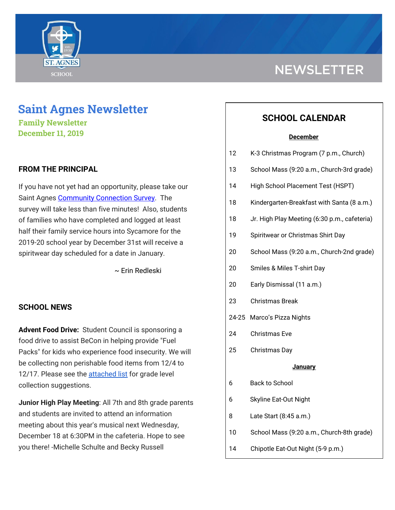

# **Saint Agnes Newsletter**

**Family Newsletter December 11, 2019**

### **FROM THE PRINCIPAL**

If you have not yet had an opportunity, please take our Saint Agnes [Community](https://www.surveymonkey.com/r/JJ5CH8Y) Connection Survey. The survey will take less than five minutes! Also, students of families who have completed and logged at least half their family service hours into Sycamore for the 2019-20 school year by December 31st will receive a spiritwear day scheduled for a date in January.

~ Erin Redleski

### **SCHOOL NEWS**

**Advent Food Drive:** Student Council is sponsoring a food drive to assist BeCon in helping provide "Fuel Packs" for kids who experience food insecurity. We will be collecting non perishable food items from 12/4 to 12/17. Please see the [attached](https://school.saintagnes.com/wp-content/uploads/2019/11/BeCon-food-drive-list-2019-2020.pdf) list for grade level collection suggestions.

**Junior High Play Meeting**: All 7th and 8th grade parents and students are invited to attend an information meeting about this year's musical next Wednesday, December 18 at 6:30PM in the cafeteria. Hope to see you there! -Michelle Schulte and Becky Russell

# **NEWSLETTER**

## **SCHOOL CALENDAR**

#### **December**

| 12             | K-3 Christmas Program (7 p.m., Church)       |
|----------------|----------------------------------------------|
| 13             | School Mass (9:20 a.m., Church-3rd grade)    |
| 14             | High School Placement Test (HSPT)            |
| 18             | Kindergarten-Breakfast with Santa (8 a.m.)   |
| 18             | Jr. High Play Meeting (6:30 p.m., cafeteria) |
| 19             | Spiritwear or Christmas Shirt Day            |
| 20             | School Mass (9:20 a.m., Church-2nd grade)    |
| 20             | Smiles & Miles T-shirt Day                   |
| 20             | Early Dismissal (11 a.m.)                    |
| 23             | <b>Christmas Break</b>                       |
| 24-25          | Marco's Pizza Nights                         |
| 24             | <b>Christmas Eve</b>                         |
| 25             | Christmas Day                                |
| <b>January</b> |                                              |
| 6              | <b>Back to School</b>                        |
| 6              | <b>Skyline Eat-Out Night</b>                 |
| 8              | Late Start (8:45 a.m.)                       |
| 10             | School Mass (9:20 a.m., Church-8th grade)    |
| 14             | Chipotle Eat-Out Night (5-9 p.m.)            |